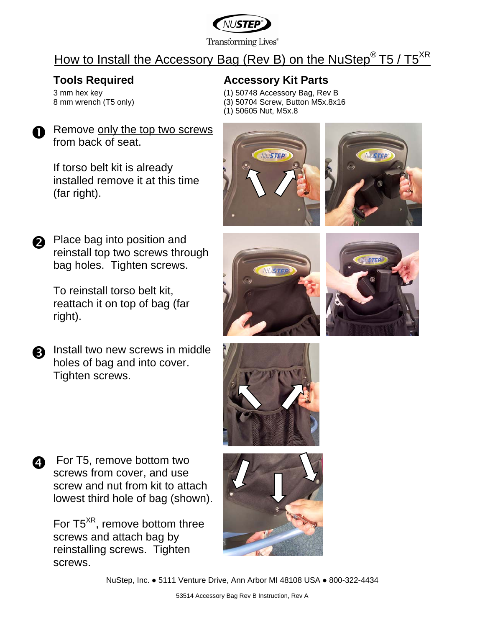

**Transforming Lives**<sup>®</sup>

# How to Install the Accessory Bag (Rev B) on the NuStep<sup>®</sup> T5 / T5<sup>XR</sup>

3 mm hex key 8 mm wrench (T5 only)

### **Tools Required Manuface Accessory Kit Parts**

- (1) 50748 Accessory Bag, Rev B (3) 50704 Screw, Button M5x.8x16
- (1) 50605 Nut, M5x.8
- 

Remove only the top two screws from back of seat.

> If torso belt kit is already installed remove it at this time (far right).





Place bag into position and reinstall top two screws through bag holes. Tighten screws.

> To reinstall torso belt kit, reattach it on top of bag (far right).

**a** Install two new screws in middle holes of bag and into cover. Tighten screws.







**q** For T5, remove bottom two screws from cover, and use screw and nut from kit to attach lowest third hole of bag (shown).

> For T5<sup>XR</sup>, remove bottom three screws and attach bag by reinstalling screws. Tighten screws.



NuStep, Inc. ● 5111 Venture Drive, Ann Arbor MI 48108 USA ● 800-322-4434